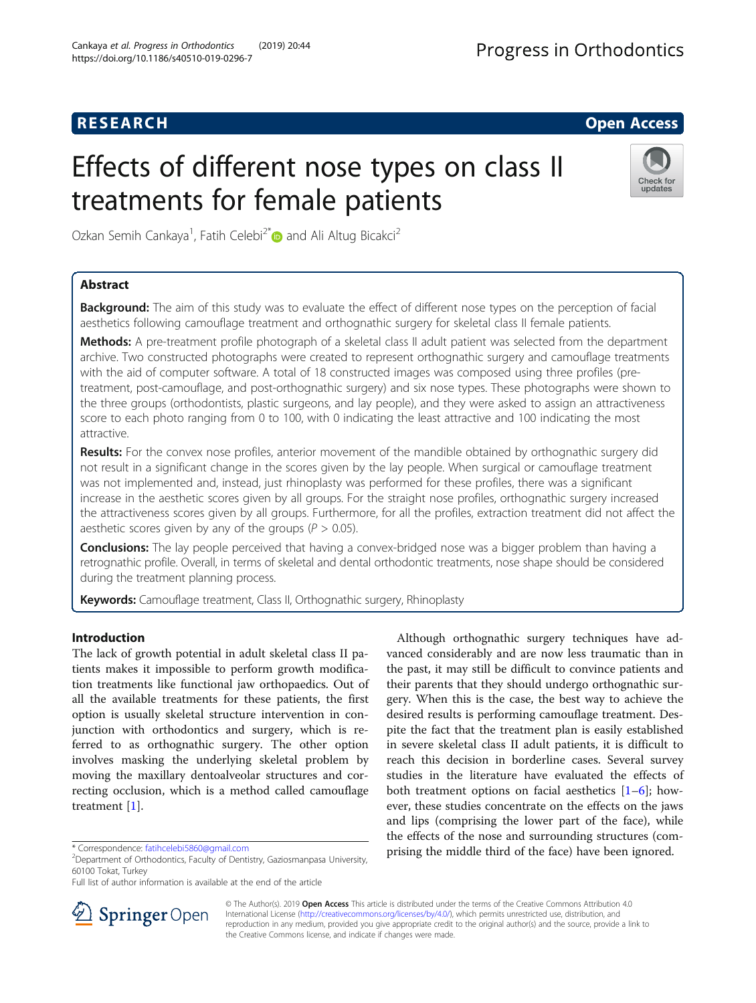# **RESEARCH CHE Open Access**

# Effects of different nose types on class II treatments for female patients



Ozkan Semih Cankaya<sup>1</sup>, Fatih Celebi<sup>2\*</sup> and Ali Altug Bicakci<sup>2</sup>

# Abstract

**Background:** The aim of this study was to evaluate the effect of different nose types on the perception of facial aesthetics following camouflage treatment and orthognathic surgery for skeletal class II female patients.

Methods: A pre-treatment profile photograph of a skeletal class II adult patient was selected from the department archive. Two constructed photographs were created to represent orthognathic surgery and camouflage treatments with the aid of computer software. A total of 18 constructed images was composed using three profiles (pretreatment, post-camouflage, and post-orthognathic surgery) and six nose types. These photographs were shown to the three groups (orthodontists, plastic surgeons, and lay people), and they were asked to assign an attractiveness score to each photo ranging from 0 to 100, with 0 indicating the least attractive and 100 indicating the most attractive.

Results: For the convex nose profiles, anterior movement of the mandible obtained by orthognathic surgery did not result in a significant change in the scores given by the lay people. When surgical or camouflage treatment was not implemented and, instead, just rhinoplasty was performed for these profiles, there was a significant increase in the aesthetic scores given by all groups. For the straight nose profiles, orthognathic surgery increased the attractiveness scores given by all groups. Furthermore, for all the profiles, extraction treatment did not affect the aesthetic scores given by any of the groups ( $P > 0.05$ ).

**Conclusions:** The lay people perceived that having a convex-bridged nose was a bigger problem than having a retrognathic profile. Overall, in terms of skeletal and dental orthodontic treatments, nose shape should be considered during the treatment planning process.

Keywords: Camouflage treatment, Class II, Orthognathic surgery, Rhinoplasty

# Introduction

The lack of growth potential in adult skeletal class II patients makes it impossible to perform growth modification treatments like functional jaw orthopaedics. Out of all the available treatments for these patients, the first option is usually skeletal structure intervention in conjunction with orthodontics and surgery, which is referred to as orthognathic surgery. The other option involves masking the underlying skeletal problem by moving the maxillary dentoalveolar structures and correcting occlusion, which is a method called camouflage treatment [[1\]](#page-7-0).

Although orthognathic surgery techniques have advanced considerably and are now less traumatic than in the past, it may still be difficult to convince patients and their parents that they should undergo orthognathic surgery. When this is the case, the best way to achieve the desired results is performing camouflage treatment. Despite the fact that the treatment plan is easily established in severe skeletal class II adult patients, it is difficult to reach this decision in borderline cases. Several survey studies in the literature have evaluated the effects of both treatment options on facial aesthetics  $[1-6]$  $[1-6]$  $[1-6]$  $[1-6]$  $[1-6]$ ; however, these studies concentrate on the effects on the jaws and lips (comprising the lower part of the face), while the effects of the nose and surrounding structures (comprising the middle third of the face) have been ignored.



© The Author(s). 2019 Open Access This article is distributed under the terms of the Creative Commons Attribution 4.0 International License ([http://creativecommons.org/licenses/by/4.0/\)](http://creativecommons.org/licenses/by/4.0/), which permits unrestricted use, distribution, and reproduction in any medium, provided you give appropriate credit to the original author(s) and the source, provide a link to the Creative Commons license, and indicate if changes were made.

<sup>\*</sup> Correspondence: [fatihcelebi5860@gmail.com](mailto:fatihcelebi5860@gmail.com) <sup>2</sup>

<sup>&</sup>lt;sup>2</sup>Department of Orthodontics, Faculty of Dentistry, Gaziosmanpasa University, 60100 Tokat, Turkey

Full list of author information is available at the end of the article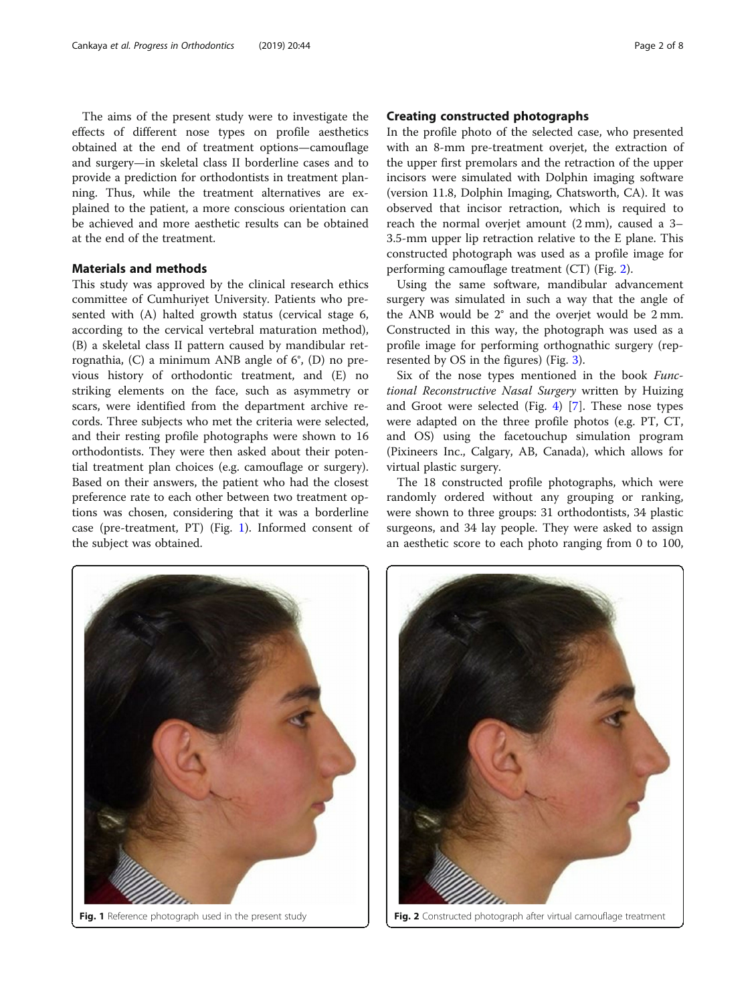The aims of the present study were to investigate the effects of different nose types on profile aesthetics obtained at the end of treatment options—camouflage and surgery—in skeletal class II borderline cases and to provide a prediction for orthodontists in treatment planning. Thus, while the treatment alternatives are explained to the patient, a more conscious orientation can be achieved and more aesthetic results can be obtained at the end of the treatment.

## Materials and methods

This study was approved by the clinical research ethics committee of Cumhuriyet University. Patients who presented with (A) halted growth status (cervical stage 6, according to the cervical vertebral maturation method), (B) a skeletal class II pattern caused by mandibular retrognathia, (C) a minimum ANB angle of 6°, (D) no previous history of orthodontic treatment, and (E) no striking elements on the face, such as asymmetry or scars, were identified from the department archive records. Three subjects who met the criteria were selected, and their resting profile photographs were shown to 16 orthodontists. They were then asked about their potential treatment plan choices (e.g. camouflage or surgery). Based on their answers, the patient who had the closest preference rate to each other between two treatment options was chosen, considering that it was a borderline case (pre-treatment, PT) (Fig. 1). Informed consent of the subject was obtained.

#### Creating constructed photographs

In the profile photo of the selected case, who presented with an 8-mm pre-treatment overjet, the extraction of the upper first premolars and the retraction of the upper incisors were simulated with Dolphin imaging software (version 11.8, Dolphin Imaging, Chatsworth, CA). It was observed that incisor retraction, which is required to reach the normal overjet amount (2 mm), caused a 3– 3.5-mm upper lip retraction relative to the E plane. This constructed photograph was used as a profile image for performing camouflage treatment (CT) (Fig. 2).

Using the same software, mandibular advancement surgery was simulated in such a way that the angle of the ANB would be 2° and the overjet would be 2 mm. Constructed in this way, the photograph was used as a profile image for performing orthognathic surgery (represented by OS in the figures) (Fig. [3\)](#page-2-0).

Six of the nose types mentioned in the book Functional Reconstructive Nasal Surgery written by Huizing and Groot were selected (Fig. [4](#page-2-0)) [\[7\]](#page-7-0). These nose types were adapted on the three profile photos (e.g. PT, CT, and OS) using the facetouchup simulation program (Pixineers Inc., Calgary, AB, Canada), which allows for virtual plastic surgery.

The 18 constructed profile photographs, which were randomly ordered without any grouping or ranking, were shown to three groups: 31 orthodontists, 34 plastic surgeons, and 34 lay people. They were asked to assign an aesthetic score to each photo ranging from 0 to 100,





Fig. 1 Reference photograph used in the present study  $\begin{vmatrix} \cdot & \cdot \\ \cdot & \cdot \end{vmatrix}$  Fig. 2 Constructed photograph after virtual camouflage treatment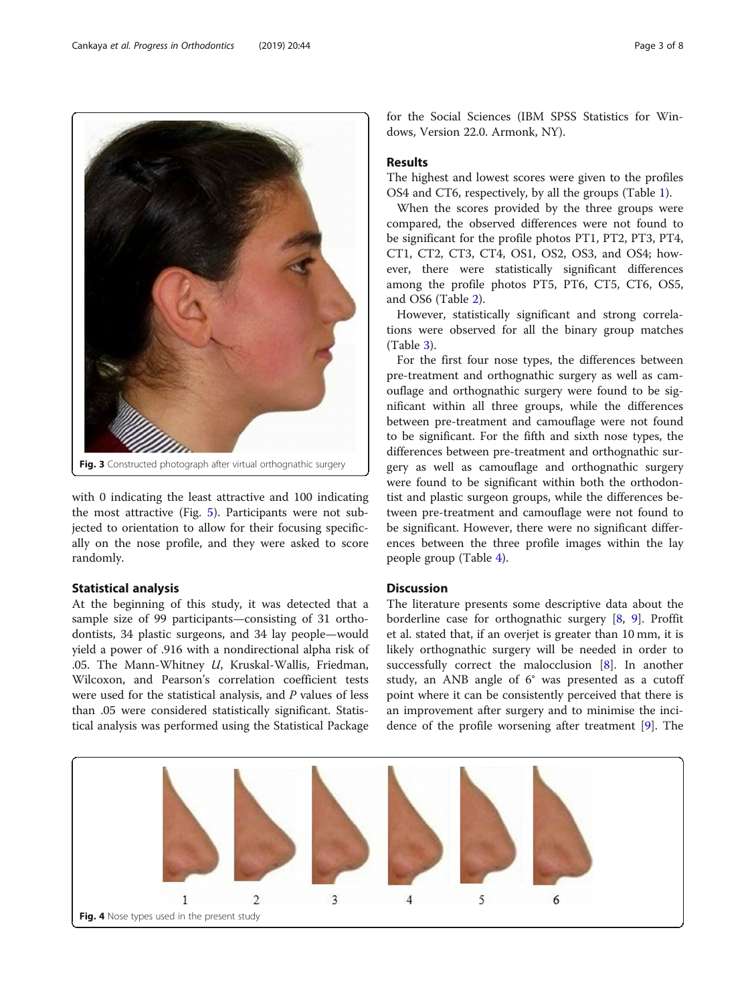with 0 indicating the least attractive and 100 indicating the most attractive (Fig. [5](#page-3-0)). Participants were not subjected to orientation to allow for their focusing specifically on the nose profile, and they were asked to score randomly.

## Statistical analysis

At the beginning of this study, it was detected that a sample size of 99 participants—consisting of 31 orthodontists, 34 plastic surgeons, and 34 lay people—would yield a power of .916 with a nondirectional alpha risk of .05. The Mann-Whitney  $U$ , Kruskal-Wallis, Friedman, Wilcoxon, and Pearson's correlation coefficient tests were used for the statistical analysis, and P values of less than .05 were considered statistically significant. Statistical analysis was performed using the Statistical Package

for the Social Sciences (IBM SPSS Statistics for Windows, Version 22.0. Armonk, NY).

### Results

The highest and lowest scores were given to the profiles OS4 and CT6, respectively, by all the groups (Table [1](#page-3-0)).

When the scores provided by the three groups were compared, the observed differences were not found to be significant for the profile photos PT1, PT2, PT3, PT4, CT1, CT2, CT3, CT4, OS1, OS2, OS3, and OS4; however, there were statistically significant differences among the profile photos PT5, PT6, CT5, CT6, OS5, and OS6 (Table [2](#page-4-0)).

However, statistically significant and strong correlations were observed for all the binary group matches (Table [3\)](#page-4-0).

For the first four nose types, the differences between pre-treatment and orthognathic surgery as well as camouflage and orthognathic surgery were found to be significant within all three groups, while the differences between pre-treatment and camouflage were not found to be significant. For the fifth and sixth nose types, the differences between pre-treatment and orthognathic surgery as well as camouflage and orthognathic surgery were found to be significant within both the orthodontist and plastic surgeon groups, while the differences between pre-treatment and camouflage were not found to be significant. However, there were no significant differences between the three profile images within the lay people group (Table [4\)](#page-5-0).

#### **Discussion**

The literature presents some descriptive data about the borderline case for orthognathic surgery [[8,](#page-7-0) [9\]](#page-7-0). Proffit et al. stated that, if an overjet is greater than 10 mm, it is likely orthognathic surgery will be needed in order to successfully correct the malocclusion [[8\]](#page-7-0). In another study, an ANB angle of 6° was presented as a cutoff point where it can be consistently perceived that there is an improvement after surgery and to minimise the incidence of the profile worsening after treatment [\[9\]](#page-7-0). The

<span id="page-2-0"></span>



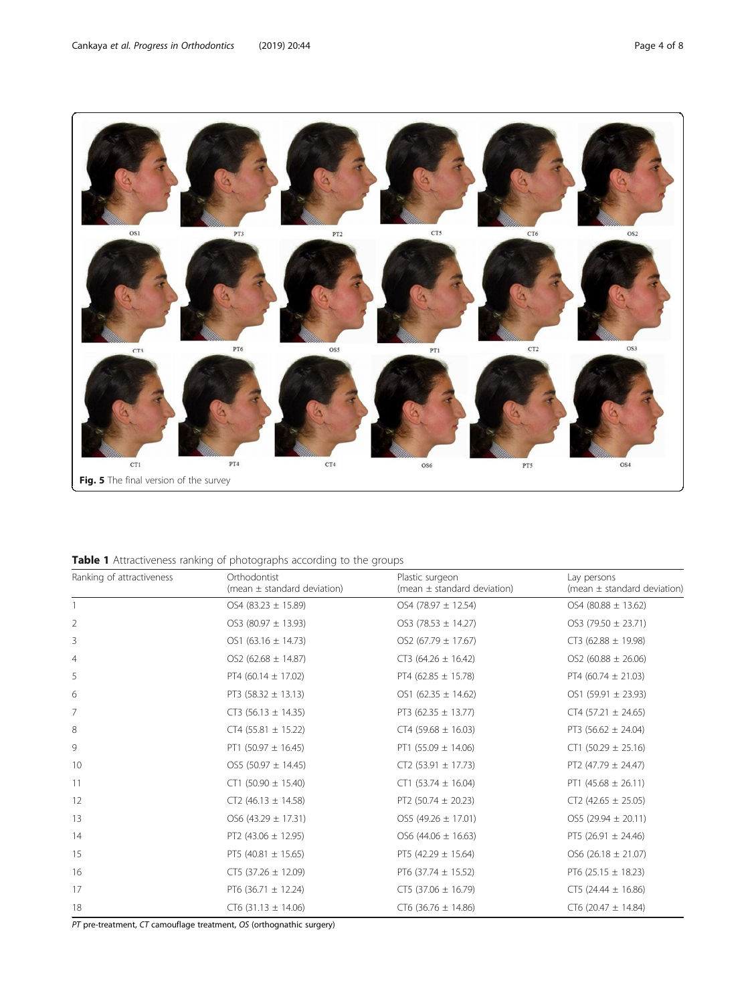<span id="page-3-0"></span>

| Ranking of attractiveness | Orthodontist<br>(mean $\pm$ standard deviation) | Plastic surgeon<br>(mean $\pm$ standard deviation) | Lay persons<br>(mean $\pm$ standard deviation) |
|---------------------------|-------------------------------------------------|----------------------------------------------------|------------------------------------------------|
|                           | OS4 $(83.23 \pm 15.89)$                         | $OS4 (78.97 \pm 12.54)$                            | OS4 (80.88 $\pm$ 13.62)                        |
| 2                         | $OS3 (80.97 \pm 13.93)$                         | $OS3 (78.53 \pm 14.27)$                            | $OS3 (79.50 \pm 23.71)$                        |
| 3                         | OS1 $(63.16 \pm 14.73)$                         | OS2 (67.79 $\pm$ 17.67)                            | $CT3$ (62.88 $\pm$ 19.98)                      |
| $\overline{4}$            | $OS2 (62.68 \pm 14.87)$                         | $CT3 (64.26 \pm 16.42)$                            | OS2 (60.88 $\pm$ 26.06)                        |
| 5                         | PT4 (60.14 $\pm$ 17.02)                         | PT4 (62.85 $\pm$ 15.78)                            | PT4 (60.74 $\pm$ 21.03)                        |
| 6                         | PT3 (58.32 $\pm$ 13.13)                         | OS1 $(62.35 \pm 14.62)$                            | OS1 (59.91 ± 23.93)                            |
| 7                         | $CT3 (56.13 \pm 14.35)$                         | PT3 $(62.35 \pm 13.77)$                            | $CT4$ (57.21 $\pm$ 24.65)                      |
| 8                         | $CT4 (55.81 \pm 15.22)$                         | $CT4 (59.68 \pm 16.03)$                            | PT3 (56.62 $\pm$ 24.04)                        |
| 9                         | PT1 (50.97 $\pm$ 16.45)                         | PT1 (55.09 $\pm$ 14.06)                            | $CT1 (50.29 \pm 25.16)$                        |
| 10                        | $OS5(50.97 \pm 14.45)$                          | $CT2$ (53.91 $\pm$ 17.73)                          | PT2 (47.79 $\pm$ 24.47)                        |
| 11                        | $CT1$ (50.90 $\pm$ 15.40)                       | $CT1$ (53.74 $\pm$ 16.04)                          | PT1 $(45.68 \pm 26.11)$                        |
| 12                        | $CT2(46.13 \pm 14.58)$                          | PT2 (50.74 $\pm$ 20.23)                            | $CT2$ (42.65 $\pm$ 25.05)                      |
| 13                        | $OS6(43.29 \pm 17.31)$                          | $OS5(49.26 \pm 17.01)$                             | OS5 (29.94 $\pm$ 20.11)                        |
| 14                        | PT2 (43.06 $\pm$ 12.95)                         | $OS6(44.06 \pm 16.63)$                             | PT5 (26.91 $\pm$ 24.46)                        |
| 15                        | PT5 (40.81 $\pm$ 15.65)                         | PT5 (42.29 $\pm$ 15.64)                            | $OS6(26.18 \pm 21.07)$                         |
| 16                        | $CT5$ (37.26 $\pm$ 12.09)                       | PT6 (37.74 $\pm$ 15.52)                            | PT6 (25.15 $\pm$ 18.23)                        |
| 17                        | PT6 (36.71 $\pm$ 12.24)                         | $CT5$ (37.06 $\pm$ 16.79)                          | $CT5$ (24.44 $\pm$ 16.86)                      |
| 18                        | $CT6$ (31.13 $\pm$ 14.06)                       | $CT6$ (36.76 $\pm$ 14.86)                          | $CT6(20.47 \pm 14.84)$                         |

PT pre-treatment, CT camouflage treatment, OS (orthognathic surgery)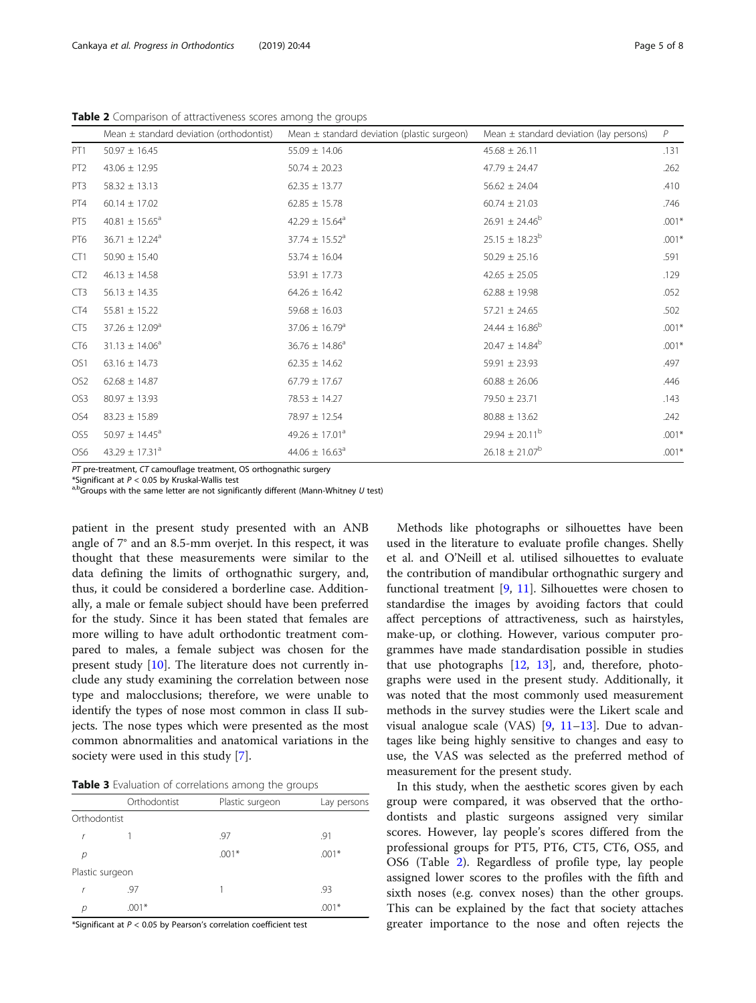<span id="page-4-0"></span>Table 2 Comparison of attractiveness scores among the groups

|                 | Mean $\pm$ standard deviation (orthodontist) | Mean $\pm$ standard deviation (plastic surgeon) | Mean $\pm$ standard deviation (lay persons) | P       |
|-----------------|----------------------------------------------|-------------------------------------------------|---------------------------------------------|---------|
| PT <sub>1</sub> | $50.97 \pm 16.45$                            | $55.09 \pm 14.06$                               | $45.68 \pm 26.11$                           | .131    |
| PT <sub>2</sub> | $43.06 \pm 12.95$                            | $50.74 \pm 20.23$                               | $47.79 \pm 24.47$                           | .262    |
| PT <sub>3</sub> | $58.32 \pm 13.13$                            | $62.35 \pm 13.77$                               | $56.62 \pm 24.04$                           | .410    |
| PT4             | $60.14 \pm 17.02$                            | $62.85 \pm 15.78$                               | $60.74 \pm 21.03$                           | .746    |
| PT5             | 40.81 $\pm$ 15.65 <sup>a</sup>               | 42.29 $\pm$ 15.64 <sup>a</sup>                  | $26.91 \pm 24.46^b$                         | $.001*$ |
| PT6             | $36.71 \pm 12.24$ <sup>a</sup>               | $37.74 \pm 15.52$ <sup>a</sup>                  | $25.15 \pm 18.23^b$                         | $.001*$ |
| CT1             | $50.90 \pm 15.40$                            | $53.74 \pm 16.04$                               | $50.29 \pm 25.16$                           | .591    |
| CT <sub>2</sub> | $46.13 \pm 14.58$                            | $53.91 \pm 17.73$                               | $42.65 \pm 25.05$                           | .129    |
| CT <sub>3</sub> | $56.13 \pm 14.35$                            | $64.26 \pm 16.42$                               | $62.88 \pm 19.98$                           | .052    |
| CT4             | $55.81 \pm 15.22$                            | $59.68 \pm 16.03$                               | $57.21 \pm 24.65$                           | .502    |
| CT <sub>5</sub> | $37.26 \pm 12.09^a$                          | $37.06 \pm 16.79$ <sup>a</sup>                  | $24.44 \pm 16.86^b$                         | $.001*$ |
| CT <sub>6</sub> | $31.13 \pm 14.06^a$                          | $36.76 \pm 14.86^a$                             | $20.47 \pm 14.84^b$                         | $.001*$ |
| OS1             | $63.16 \pm 14.73$                            | $62.35 \pm 14.62$                               | 59.91 $\pm$ 23.93                           | .497    |
| OS <sub>2</sub> | $62.68 \pm 14.87$                            | $67.79 \pm 17.67$                               | $60.88 \pm 26.06$                           | .446    |
| OS <sub>3</sub> | $80.97 \pm 13.93$                            | 78.53 ± 14.27                                   | 79.50 ± 23.71                               | .143    |
| OS4             | $83.23 \pm 15.89$                            | 78.97 ± 12.54                                   | $80.88 \pm 13.62$                           | .242    |
| OS5             | $50.97 \pm 14.45^a$                          | $49.26 \pm 17.01^a$                             | $29.94 \pm 20.11^{\mathrm{b}}$              | $.001*$ |
| OS6             | 43.29 $\pm$ 17.31 <sup>a</sup>               | 44.06 $\pm$ 16.63 <sup>a</sup>                  | $26.18 \pm 21.07^b$                         | $.001*$ |

PT pre-treatment, CT camouflage treatment, OS orthognathic surgery

\*Significant at  $P < 0.05$  by Kruskal-Wallis test<br><sup>a,b</sup>Groups with the same letter are not significantly different (Mann-Whitney U test)

patient in the present study presented with an ANB angle of 7° and an 8.5-mm overjet. In this respect, it was thought that these measurements were similar to the data defining the limits of orthognathic surgery, and, thus, it could be considered a borderline case. Additionally, a male or female subject should have been preferred for the study. Since it has been stated that females are more willing to have adult orthodontic treatment compared to males, a female subject was chosen for the present study [\[10\]](#page-7-0). The literature does not currently include any study examining the correlation between nose type and malocclusions; therefore, we were unable to identify the types of nose most common in class II subjects. The nose types which were presented as the most common abnormalities and anatomical variations in the society were used in this study [\[7\]](#page-7-0).

Table 3 Evaluation of correlations among the groups

|                 | Orthodontist | Plastic surgeon | Lay persons |
|-----------------|--------------|-----------------|-------------|
| Orthodontist    |              |                 |             |
|                 |              | .97             | .91         |
| D               |              | $.001*$         | $.001*$     |
| Plastic surgeon |              |                 |             |
|                 | .97          |                 | .93         |
| D               | $.001*$      |                 | $.001*$     |

\*Significant at  $P < 0.05$  by Pearson's correlation coefficient test

Methods like photographs or silhouettes have been used in the literature to evaluate profile changes. Shelly et al. and O'Neill et al. utilised silhouettes to evaluate the contribution of mandibular orthognathic surgery and functional treatment [[9,](#page-7-0) [11](#page-7-0)]. Silhouettes were chosen to standardise the images by avoiding factors that could affect perceptions of attractiveness, such as hairstyles, make-up, or clothing. However, various computer programmes have made standardisation possible in studies that use photographs  $[12, 13]$  $[12, 13]$  $[12, 13]$ , and, therefore, photographs were used in the present study. Additionally, it was noted that the most commonly used measurement methods in the survey studies were the Likert scale and visual analogue scale (VAS)  $[9, 11-13]$  $[9, 11-13]$  $[9, 11-13]$  $[9, 11-13]$  $[9, 11-13]$  $[9, 11-13]$  $[9, 11-13]$ . Due to advantages like being highly sensitive to changes and easy to use, the VAS was selected as the preferred method of measurement for the present study.

In this study, when the aesthetic scores given by each group were compared, it was observed that the orthodontists and plastic surgeons assigned very similar scores. However, lay people's scores differed from the professional groups for PT5, PT6, CT5, CT6, OS5, and OS6 (Table 2). Regardless of profile type, lay people assigned lower scores to the profiles with the fifth and sixth noses (e.g. convex noses) than the other groups. This can be explained by the fact that society attaches greater importance to the nose and often rejects the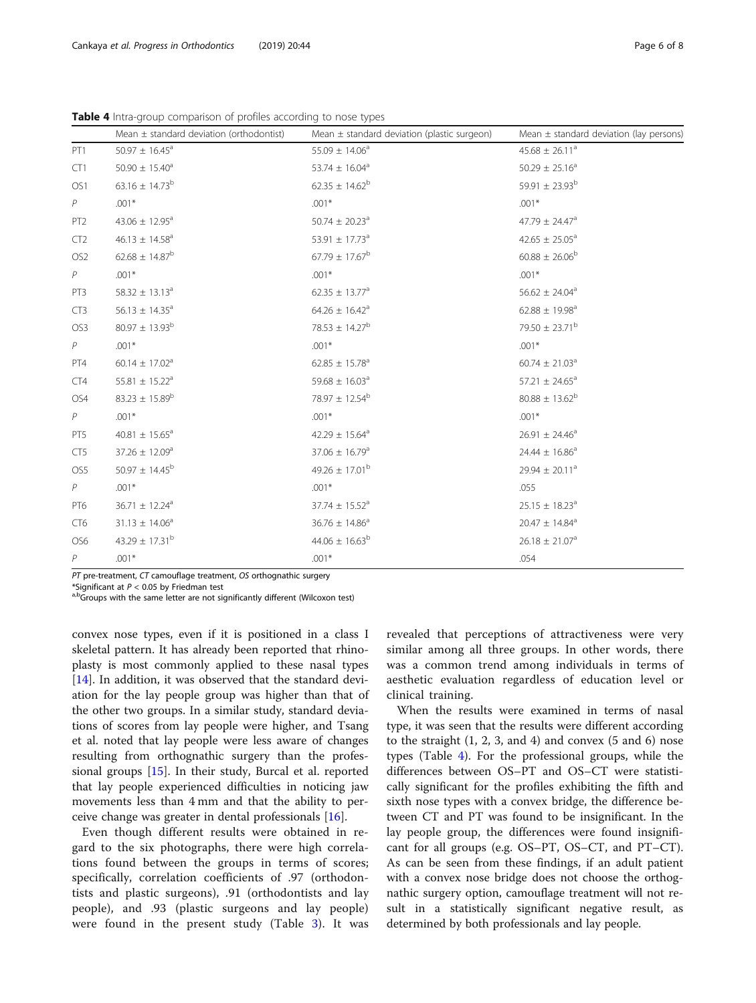<span id="page-5-0"></span>Table 4 Intra-group comparison of profiles according to nose types

|                 | Mean $\pm$ standard deviation (orthodontist) | Mean $\pm$ standard deviation (plastic surgeon) | Mean $\pm$ standard deviation (lay persons) |
|-----------------|----------------------------------------------|-------------------------------------------------|---------------------------------------------|
| PT <sub>1</sub> | $50.97 \pm 16.45^a$                          | $55.09 \pm 14.06^a$                             | $45.68 \pm 26.11^a$                         |
| CT1             | $50.90 \pm 15.40^a$                          | 53.74 $\pm$ 16.04 <sup>a</sup>                  | $50.29 \pm 25.16^a$                         |
| OS1             | $63.16 \pm 14.73^b$                          | $62.35 \pm 14.62^b$                             | 59.91 $\pm$ 23.93 <sup>b</sup>              |
| P               | $.001*$                                      | $.001*$                                         | $.001*$                                     |
| PT <sub>2</sub> | 43.06 $\pm$ 12.95 <sup>a</sup>               | $50.74 \pm 20.23$ <sup>a</sup>                  | 47.79 $\pm$ 24.47 <sup>a</sup>              |
| CT2             | $46.13 \pm 14.58^a$                          | 53.91 $\pm$ 17.73 <sup>a</sup>                  | $42.65 \pm 25.05^a$                         |
| OS <sub>2</sub> | $62.68 \pm 14.87^b$                          | $67.79 \pm 17.67^b$                             | $60.88 \pm 26.06^{\rm b}$                   |
| $\mathcal P$    | $.001*$                                      | $.001*$                                         | $.001*$                                     |
| PT3             | $58.32 \pm 13.13^a$                          | $62.35 \pm 13.77$ <sup>a</sup>                  | $56.62 \pm 24.04$ <sup>a</sup>              |
| CT <sub>3</sub> | $56.13 \pm 14.35^a$                          | $64.26 \pm 16.42^a$                             | $62.88 \pm 19.98$ <sup>a</sup>              |
| OS3             | $80.97 \pm 13.93^{\rm b}$                    | $78.53 \pm 14.27^b$                             | 79.50 $\pm$ 23.71 <sup>b</sup>              |
| P               | $.001*$                                      | $.001*$                                         | $.001*$                                     |
| PT4             | $60.14 \pm 17.02^a$                          | $62.85 \pm 15.78$ <sup>a</sup>                  | $60.74 \pm 21.03$ <sup>a</sup>              |
| CT4             | 55.81 $\pm$ 15.22 <sup>a</sup>               | 59.68 $\pm$ 16.03 <sup>a</sup>                  | $57.21 \pm 24.65^a$                         |
| OS4             | $83.23 \pm 15.89^b$                          | 78.97 $\pm$ 12.54 <sup>b</sup>                  | $80.88 \pm 13.62^b$                         |
| $\,P$           | $.001*$                                      | $.001*$                                         | $.001*$                                     |
| PT5             | $40.81 \pm 15.65^a$                          | $42.29 \pm 15.64^a$                             | $26.91 \pm 24.46^a$                         |
| CT5             | $37.26 \pm 12.09^a$                          | $37.06 \pm 16.79$ <sup>a</sup>                  | $24.44 \pm 16.86^a$                         |
| OS5             | $50.97 \pm 14.45^{\rm b}$                    | $49.26 \pm 17.01^{\rm b}$                       | $29.94 \pm 20.11^a$                         |
| P               | $.001*$                                      | $.001*$                                         | .055                                        |
| PT6             | $36.71 \pm 12.24$ <sup>a</sup>               | $37.74 \pm 15.52$ <sup>a</sup>                  | $25.15 \pm 18.23$ <sup>a</sup>              |
| CT <sub>6</sub> | $31.13 \pm 14.06^a$                          | $36.76 \pm 14.86^a$                             | $20.47 \pm 14.84$ <sup>a</sup>              |
| OS6             | 43.29 $\pm$ 17.31 <sup>b</sup>               | $44.06 \pm 16.63^b$                             | $26.18 \pm 21.07$ <sup>a</sup>              |
| P               | $.001*$                                      | $.001*$                                         | .054                                        |

PT pre-treatment, CT camouflage treatment, OS orthognathic surgery

\*Significant at  $P < 0.05$  by Friedman test<br><sup>a,b</sup>Groups with the same letter are not significantly different (Wilcoxon test)

convex nose types, even if it is positioned in a class I skeletal pattern. It has already been reported that rhinoplasty is most commonly applied to these nasal types [[14\]](#page-7-0). In addition, it was observed that the standard deviation for the lay people group was higher than that of the other two groups. In a similar study, standard deviations of scores from lay people were higher, and Tsang et al. noted that lay people were less aware of changes resulting from orthognathic surgery than the professional groups [\[15\]](#page-7-0). In their study, Burcal et al. reported that lay people experienced difficulties in noticing jaw movements less than 4 mm and that the ability to perceive change was greater in dental professionals [[16](#page-7-0)].

Even though different results were obtained in regard to the six photographs, there were high correlations found between the groups in terms of scores; specifically, correlation coefficients of .97 (orthodontists and plastic surgeons), .91 (orthodontists and lay people), and .93 (plastic surgeons and lay people) were found in the present study (Table [3\)](#page-4-0). It was

revealed that perceptions of attractiveness were very similar among all three groups. In other words, there was a common trend among individuals in terms of aesthetic evaluation regardless of education level or clinical training.

When the results were examined in terms of nasal type, it was seen that the results were different according to the straight  $(1, 2, 3, \text{ and } 4)$  and convex  $(5 \text{ and } 6)$  nose types (Table 4). For the professional groups, while the differences between OS–PT and OS–CT were statistically significant for the profiles exhibiting the fifth and sixth nose types with a convex bridge, the difference between CT and PT was found to be insignificant. In the lay people group, the differences were found insignificant for all groups (e.g. OS–PT, OS–CT, and PT–CT). As can be seen from these findings, if an adult patient with a convex nose bridge does not choose the orthognathic surgery option, camouflage treatment will not result in a statistically significant negative result, as determined by both professionals and lay people.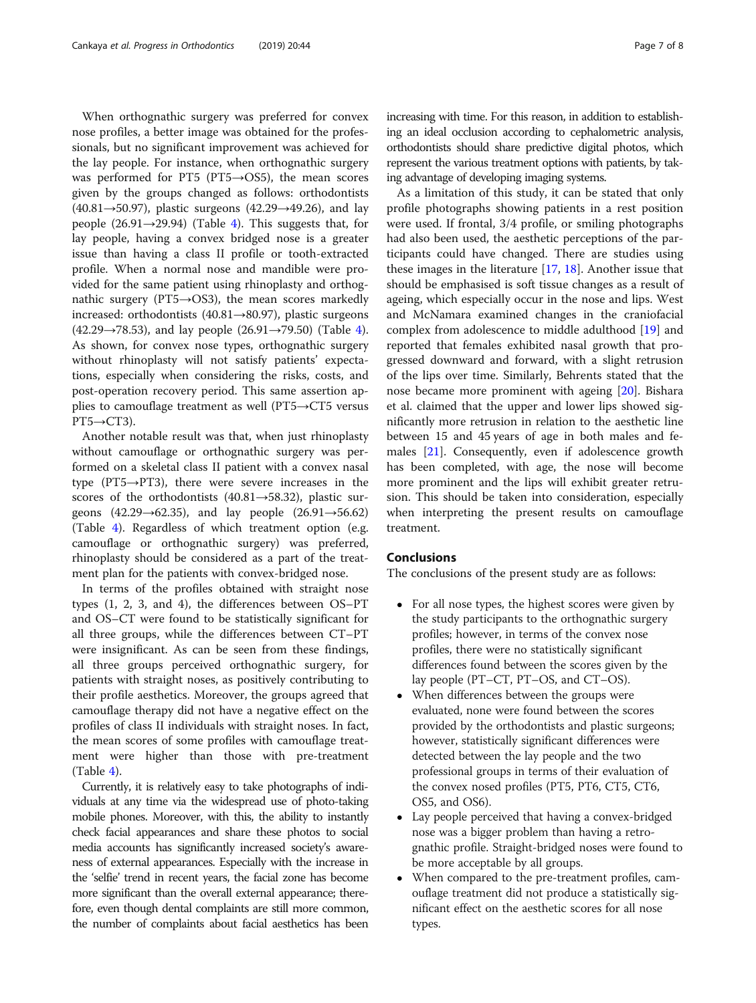When orthognathic surgery was preferred for convex nose profiles, a better image was obtained for the professionals, but no significant improvement was achieved for the lay people. For instance, when orthognathic surgery was performed for PT5 (PT5→OS5), the mean scores given by the groups changed as follows: orthodontists (40.81→50.97), plastic surgeons (42.29→49.26), and lay people (26.91 $\rightarrow$ 29.9[4\)](#page-5-0) (Table 4). This suggests that, for lay people, having a convex bridged nose is a greater issue than having a class II profile or tooth-extracted profile. When a normal nose and mandible were provided for the same patient using rhinoplasty and orthognathic surgery ( $PT5 \rightarrow OS3$ ), the mean scores markedly increased: orthodontists (40.81→80.97), plastic surgeons ([4](#page-5-0)2.29→78.53), and lay people (26.91→79.50) (Table 4). As shown, for convex nose types, orthognathic surgery without rhinoplasty will not satisfy patients' expectations, especially when considering the risks, costs, and post-operation recovery period. This same assertion applies to camouflage treatment as well (PT5→CT5 versus  $PT5 \rightarrow CT3$ ).

Another notable result was that, when just rhinoplasty without camouflage or orthognathic surgery was performed on a skeletal class II patient with a convex nasal type (PT5→PT3), there were severe increases in the scores of the orthodontists  $(40.81 \rightarrow 58.32)$ , plastic surgeons (42.29→62.35), and lay people (26.91→56.62) (Table [4](#page-5-0)). Regardless of which treatment option (e.g. camouflage or orthognathic surgery) was preferred, rhinoplasty should be considered as a part of the treatment plan for the patients with convex-bridged nose.

In terms of the profiles obtained with straight nose types (1, 2, 3, and 4), the differences between OS–PT and OS–CT were found to be statistically significant for all three groups, while the differences between CT–PT were insignificant. As can be seen from these findings, all three groups perceived orthognathic surgery, for patients with straight noses, as positively contributing to their profile aesthetics. Moreover, the groups agreed that camouflage therapy did not have a negative effect on the profiles of class II individuals with straight noses. In fact, the mean scores of some profiles with camouflage treatment were higher than those with pre-treatment  $(Table 4)$  $(Table 4)$ .

Currently, it is relatively easy to take photographs of individuals at any time via the widespread use of photo-taking mobile phones. Moreover, with this, the ability to instantly check facial appearances and share these photos to social media accounts has significantly increased society's awareness of external appearances. Especially with the increase in the 'selfie' trend in recent years, the facial zone has become more significant than the overall external appearance; therefore, even though dental complaints are still more common, the number of complaints about facial aesthetics has been

increasing with time. For this reason, in addition to establishing an ideal occlusion according to cephalometric analysis, orthodontists should share predictive digital photos, which represent the various treatment options with patients, by taking advantage of developing imaging systems.

As a limitation of this study, it can be stated that only profile photographs showing patients in a rest position were used. If frontal, 3/4 profile, or smiling photographs had also been used, the aesthetic perceptions of the participants could have changed. There are studies using these images in the literature [[17,](#page-7-0) [18\]](#page-7-0). Another issue that should be emphasised is soft tissue changes as a result of ageing, which especially occur in the nose and lips. West and McNamara examined changes in the craniofacial complex from adolescence to middle adulthood [\[19](#page-7-0)] and reported that females exhibited nasal growth that progressed downward and forward, with a slight retrusion of the lips over time. Similarly, Behrents stated that the nose became more prominent with ageing [[20](#page-7-0)]. Bishara et al. claimed that the upper and lower lips showed significantly more retrusion in relation to the aesthetic line between 15 and 45 years of age in both males and females [[21\]](#page-7-0). Consequently, even if adolescence growth has been completed, with age, the nose will become more prominent and the lips will exhibit greater retrusion. This should be taken into consideration, especially when interpreting the present results on camouflage treatment.

#### Conclusions

The conclusions of the present study are as follows:

- For all nose types, the highest scores were given by the study participants to the orthognathic surgery profiles; however, in terms of the convex nose profiles, there were no statistically significant differences found between the scores given by the lay people (PT–CT, PT–OS, and CT–OS).
- When differences between the groups were evaluated, none were found between the scores provided by the orthodontists and plastic surgeons; however, statistically significant differences were detected between the lay people and the two professional groups in terms of their evaluation of the convex nosed profiles (PT5, PT6, CT5, CT6, OS5, and OS6).
- Lay people perceived that having a convex-bridged nose was a bigger problem than having a retrognathic profile. Straight-bridged noses were found to be more acceptable by all groups.
- When compared to the pre-treatment profiles, camouflage treatment did not produce a statistically significant effect on the aesthetic scores for all nose types.